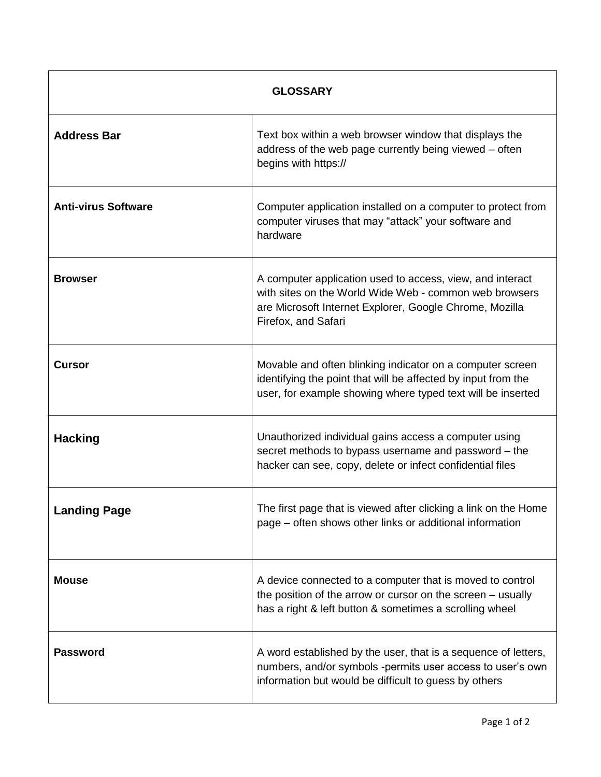| <b>GLOSSARY</b>            |                                                                                                                                                                                                       |
|----------------------------|-------------------------------------------------------------------------------------------------------------------------------------------------------------------------------------------------------|
| <b>Address Bar</b>         | Text box within a web browser window that displays the<br>address of the web page currently being viewed - often<br>begins with https://                                                              |
| <b>Anti-virus Software</b> | Computer application installed on a computer to protect from<br>computer viruses that may "attack" your software and<br>hardware                                                                      |
| <b>Browser</b>             | A computer application used to access, view, and interact<br>with sites on the World Wide Web - common web browsers<br>are Microsoft Internet Explorer, Google Chrome, Mozilla<br>Firefox, and Safari |
| <b>Cursor</b>              | Movable and often blinking indicator on a computer screen<br>identifying the point that will be affected by input from the<br>user, for example showing where typed text will be inserted             |
| <b>Hacking</b>             | Unauthorized individual gains access a computer using<br>secret methods to bypass username and password - the<br>hacker can see, copy, delete or infect confidential files                            |
| <b>Landing Page</b>        | The first page that is viewed after clicking a link on the Home<br>page - often shows other links or additional information                                                                           |
| <b>Mouse</b>               | A device connected to a computer that is moved to control<br>the position of the arrow or cursor on the screen - usually<br>has a right & left button & sometimes a scrolling wheel                   |
| <b>Password</b>            | A word established by the user, that is a sequence of letters,<br>numbers, and/or symbols -permits user access to user's own<br>information but would be difficult to guess by others                 |